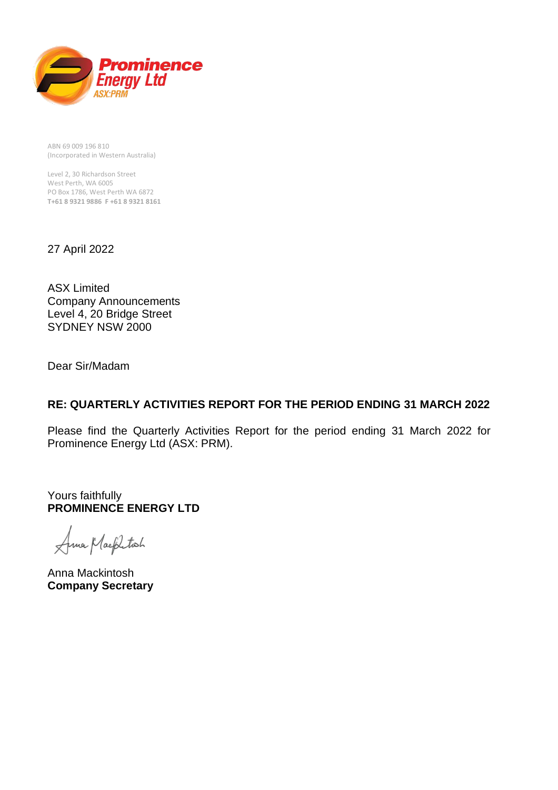

ABN 69 009 196 810 (Incorporated in Western Australia)

Level 2, 30 Richardson Street West Perth, WA 6005 PO Box 1786, West Perth WA 6872 **T+61 8 9321 9886 F +61 8 9321 8161**

27 April 2022

ASX Limited Company Announcements Level 4, 20 Bridge Street SYDNEY NSW 2000

Dear Sir/Madam

## **RE: QUARTERLY ACTIVITIES REPORT FOR THE PERIOD ENDING 31 MARCH 2022**

Please find the Quarterly Activities Report for the period ending 31 March 2022 for Prominence Energy Ltd (ASX: PRM).

Yours faithfully **PROMINENCE ENERGY LTD**

Anna Mackliton

Anna Mackintosh **Company Secretary**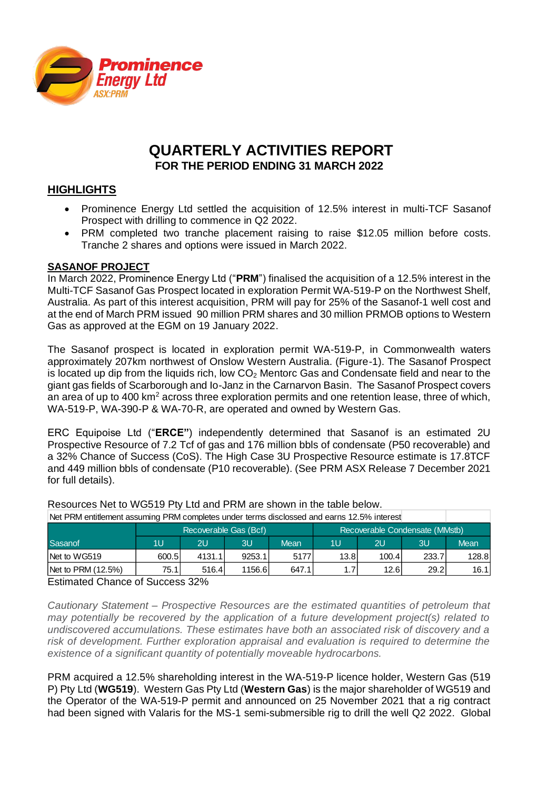

# **QUARTERLY ACTIVITIES REPORT FOR THE PERIOD ENDING 31 MARCH 2022**

### **HIGHLIGHTS**

- Prominence Energy Ltd settled the acquisition of 12.5% interest in multi-TCF Sasanof Prospect with drilling to commence in Q2 2022.
- PRM completed two tranche placement raising to raise \$12.05 million before costs. Tranche 2 shares and options were issued in March 2022.

#### **SASANOF PROJECT**

In March 2022, Prominence Energy Ltd ("**PRM**") finalised the acquisition of a 12.5% interest in the Multi-TCF Sasanof Gas Prospect located in exploration Permit WA-519-P on the Northwest Shelf, Australia. As part of this interest acquisition, PRM will pay for 25% of the Sasanof-1 well cost and at the end of March PRM issued 90 million PRM shares and 30 million PRMOB options to Western Gas as approved at the EGM on 19 January 2022.

The Sasanof prospect is located in exploration permit WA-519-P, in Commonwealth waters approximately 207km northwest of Onslow Western Australia. (Figure-1). The Sasanof Prospect is located up dip from the liquids rich, low  $CO<sub>2</sub>$  Mentorc Gas and Condensate field and near to the giant gas fields of Scarborough and Io-Janz in the Carnarvon Basin. The Sasanof Prospect covers an area of up to 400 km<sup>2</sup> across three exploration permits and one retention lease, three of which, WA-519-P, WA-390-P & WA-70-R, are operated and owned by Western Gas.

ERC Equipoise Ltd ("**ERCE"**) independently determined that Sasanof is an estimated 2U Prospective Resource of 7.2 Tcf of gas and 176 million bbls of condensate (P50 recoverable) and a 32% Chance of Success (CoS). The High Case 3U Prospective Resource estimate is 17.8TCF and 449 million bbls of condensate (P10 recoverable). (See PRM ASX Release 7 December 2021 for full details).

| Net PRM entitlement assuming PRM completes under terms disclossed and earns 12.5% interest |                       |        |        |                                |      |       |       |             |
|--------------------------------------------------------------------------------------------|-----------------------|--------|--------|--------------------------------|------|-------|-------|-------------|
|                                                                                            | Recoverable Gas (Bcf) |        |        | Recoverable Condensate (MMstb) |      |       |       |             |
| Sasanof                                                                                    | 1U                    | 2U     | ЗU     | <b>Mean</b>                    | 1U   | 2U    | 3U    | <b>Mean</b> |
| Net to WG519                                                                               | 600.5                 | 4131.1 | 9253.1 | 5177                           | 13.8 | 100.4 | 233.7 | 128.8       |
| Net to PRM (12.5%)                                                                         | 75.1                  | 516.4  | 1156.6 | 647.1                          |      | 12.6  | 29.2  | 16.1        |

Resources Net to WG519 Pty Ltd and PRM are shown in the table below.

Estimated Chance of Success 32%

*Cautionary Statement – Prospective Resources are the estimated quantities of petroleum that may potentially be recovered by the application of a future development project(s) related to undiscovered accumulations. These estimates have both an associated risk of discovery and a risk of development. Further exploration appraisal and evaluation is required to determine the existence of a significant quantity of potentially moveable hydrocarbons.*

PRM acquired a 12.5% shareholding interest in the WA-519-P licence holder, Western Gas (519 P) Pty Ltd (**WG519**). Western Gas Pty Ltd (**Western Gas**) is the major shareholder of WG519 and the Operator of the WA-519-P permit and announced on 25 November 2021 that a rig contract had been signed with Valaris for the MS-1 semi-submersible rig to drill the well Q2 2022. Global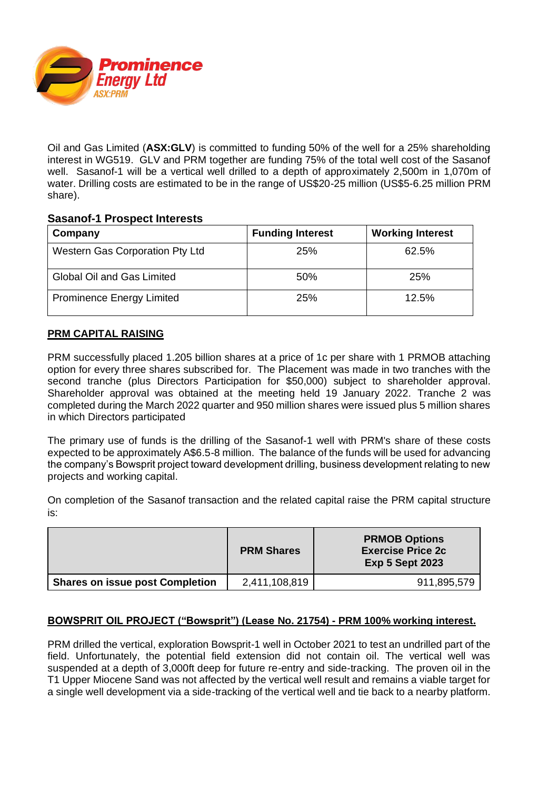

Oil and Gas Limited (**ASX:GLV**) is committed to funding 50% of the well for a 25% shareholding interest in WG519. GLV and PRM together are funding 75% of the total well cost of the Sasanof well. Sasanof-1 will be a vertical well drilled to a depth of approximately 2,500m in 1,070m of water. Drilling costs are estimated to be in the range of US\$20-25 million (US\$5-6.25 million PRM share).

#### **Sasanof-1 Prospect Interests**

| Company                           | <b>Funding Interest</b> | <b>Working Interest</b> |
|-----------------------------------|-------------------------|-------------------------|
| Western Gas Corporation Pty Ltd   | 25%                     | 62.5%                   |
| <b>Global Oil and Gas Limited</b> | 50%                     | 25%                     |
| <b>Prominence Energy Limited</b>  | 25%                     | 12.5%                   |

#### **PRM CAPITAL RAISING**

PRM successfully placed 1.205 billion shares at a price of 1c per share with 1 PRMOB attaching option for every three shares subscribed for. The Placement was made in two tranches with the second tranche (plus Directors Participation for \$50,000) subject to shareholder approval. Shareholder approval was obtained at the meeting held 19 January 2022. Tranche 2 was completed during the March 2022 quarter and 950 million shares were issued plus 5 million shares in which Directors participated

The primary use of funds is the drilling of the Sasanof-1 well with PRM's share of these costs expected to be approximately A\$6.5-8 million. The balance of the funds will be used for advancing the company's Bowsprit project toward development drilling, business development relating to new projects and working capital.

On completion of the Sasanof transaction and the related capital raise the PRM capital structure is:

|                                        | <b>PRM Shares</b> | <b>PRMOB Options</b><br><b>Exercise Price 2c</b><br><b>Exp 5 Sept 2023</b> |
|----------------------------------------|-------------------|----------------------------------------------------------------------------|
| <b>Shares on issue post Completion</b> | 2,411,108,819     | 911,895,579                                                                |

#### **BOWSPRIT OIL PROJECT ("Bowsprit") (Lease No. 21754) - PRM 100% working interest.**

PRM drilled the vertical, exploration Bowsprit-1 well in October 2021 to test an undrilled part of the field. Unfortunately, the potential field extension did not contain oil. The vertical well was suspended at a depth of 3,000ft deep for future re-entry and side-tracking. The proven oil in the T1 Upper Miocene Sand was not affected by the vertical well result and remains a viable target for a single well development via a side-tracking of the vertical well and tie back to a nearby platform.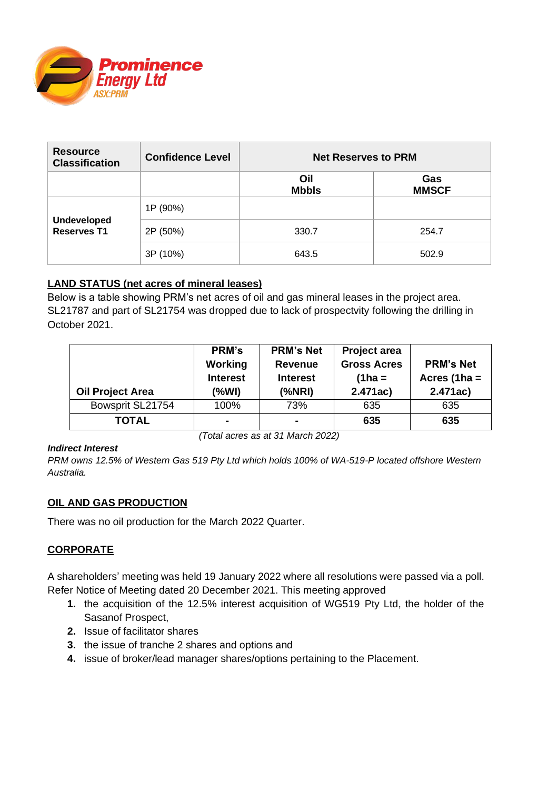

| <b>Resource</b><br><b>Classification</b> | <b>Confidence Level</b> | <b>Net Reserves to PRM</b> |                     |  |
|------------------------------------------|-------------------------|----------------------------|---------------------|--|
|                                          |                         | Oil<br><b>Mbbls</b>        | Gas<br><b>MMSCF</b> |  |
|                                          | 1P (90%)                |                            |                     |  |
| <b>Undeveloped</b><br><b>Reserves T1</b> | 2P (50%)                | 330.7                      | 254.7               |  |
|                                          | 3P (10%)                | 643.5                      | 502.9               |  |

### **LAND STATUS (net acres of mineral leases)**

Below is a table showing PRM's net acres of oil and gas mineral leases in the project area. SL21787 and part of SL21754 was dropped due to lack of prospectvity following the drilling in October 2021.

| <b>Oil Project Area</b> | PRM's<br><b>Working</b><br><b>Interest</b><br>(%WI) | <b>PRM's Net</b><br><b>Revenue</b><br><b>Interest</b><br>(%NRI) | Project area<br><b>Gross Acres</b><br>$(1 ha =$<br>2.471ac) | <b>PRM's Net</b><br>Acres (1ha $=$<br>2.471ac) |
|-------------------------|-----------------------------------------------------|-----------------------------------------------------------------|-------------------------------------------------------------|------------------------------------------------|
| Bowsprit SL21754        | 100%                                                | 73%                                                             | 635                                                         | 635                                            |
| <b>TOTAL</b>            |                                                     | $\blacksquare$                                                  | 635                                                         | 635                                            |

*(Total acres as at 31 March 2022)*

#### *Indirect Interest*

*PRM owns 12.5% of Western Gas 519 Pty Ltd which holds 100% of WA-519-P located offshore Western Australia.* 

#### **OIL AND GAS PRODUCTION**

There was no oil production for the March 2022 Quarter.

#### **CORPORATE**

A shareholders' meeting was held 19 January 2022 where all resolutions were passed via a poll. Refer Notice of Meeting dated 20 December 2021. This meeting approved

- **1.** the acquisition of the 12.5% interest acquisition of WG519 Pty Ltd, the holder of the Sasanof Prospect,
- **2.** Issue of facilitator shares
- **3.** the issue of tranche 2 shares and options and
- **4.** issue of broker/lead manager shares/options pertaining to the Placement.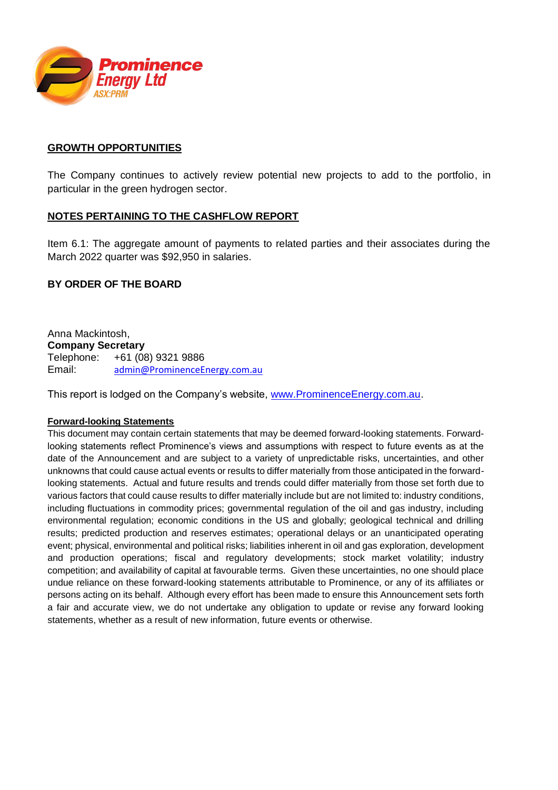

#### **GROWTH OPPORTUNITIES**

The Company continues to actively review potential new projects to add to the portfolio, in particular in the green hydrogen sector.

#### **NOTES PERTAINING TO THE CASHFLOW REPORT**

Item 6.1: The aggregate amount of payments to related parties and their associates during the March 2022 quarter was \$92,950 in salaries.

#### **BY ORDER OF THE BOARD**

Anna Mackintosh, **Company Secretary** Telephone: +61 (08) 9321 9886 Email: [admin@ProminenceEnergy.com.au](mailto:admin@ProminenceEnergy.com.au)

This report is lodged on the Company's website, [www.ProminenceEnergy.com.au.](http://www.prominenceenergy.com.au/)

#### **Forward-looking Statements**

This document may contain certain statements that may be deemed forward-looking statements. Forwardlooking statements reflect Prominence's views and assumptions with respect to future events as at the date of the Announcement and are subject to a variety of unpredictable risks, uncertainties, and other unknowns that could cause actual events or results to differ materially from those anticipated in the forwardlooking statements. Actual and future results and trends could differ materially from those set forth due to various factors that could cause results to differ materially include but are not limited to: industry conditions, including fluctuations in commodity prices; governmental regulation of the oil and gas industry, including environmental regulation; economic conditions in the US and globally; geological technical and drilling results; predicted production and reserves estimates; operational delays or an unanticipated operating event; physical, environmental and political risks; liabilities inherent in oil and gas exploration, development and production operations; fiscal and regulatory developments; stock market volatility; industry competition; and availability of capital at favourable terms. Given these uncertainties, no one should place undue reliance on these forward-looking statements attributable to Prominence, or any of its affiliates or persons acting on its behalf. Although every effort has been made to ensure this Announcement sets forth a fair and accurate view, we do not undertake any obligation to update or revise any forward looking statements, whether as a result of new information, future events or otherwise.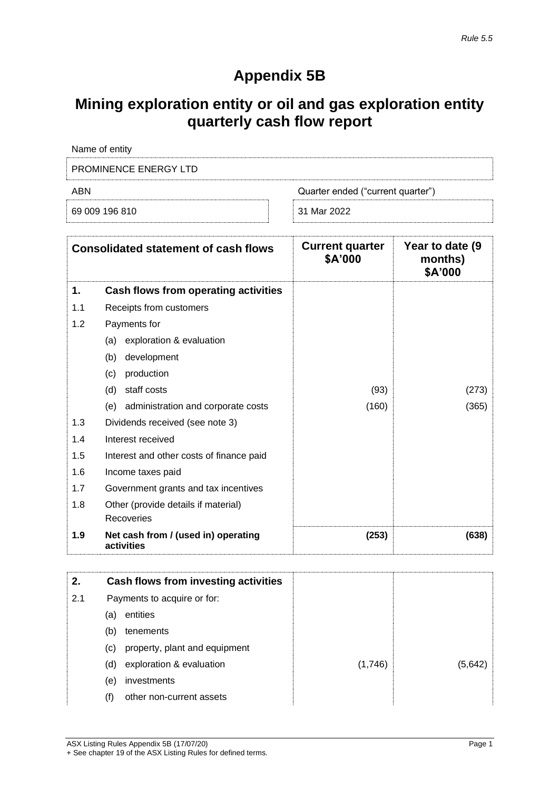# **Appendix 5B**

# **Mining exploration entity or oil and gas exploration entity quarterly cash flow report**

| Name of entity               |                                   |
|------------------------------|-----------------------------------|
| <b>PROMINENCE ENERGY LTD</b> |                                   |
| ARN                          | Quarter ended ("current quarter") |
| 69 009 196 810               | 31 Mar 2022                       |

| <b>Consolidated statement of cash flows</b> |                                                   | <b>Current quarter</b><br>\$A'000 | Year to date (9<br>months)<br>\$A'000 |
|---------------------------------------------|---------------------------------------------------|-----------------------------------|---------------------------------------|
| 1.                                          | Cash flows from operating activities              |                                   |                                       |
| 1.1                                         | Receipts from customers                           |                                   |                                       |
| 1.2                                         | Payments for                                      |                                   |                                       |
|                                             | exploration & evaluation<br>(a)                   |                                   |                                       |
|                                             | development<br>(b)                                |                                   |                                       |
|                                             | (c)<br>production                                 |                                   |                                       |
|                                             | (d)<br>staff costs                                | (93)                              | (273)                                 |
|                                             | administration and corporate costs<br>(e)         | (160)                             | (365)                                 |
| 1.3                                         | Dividends received (see note 3)                   |                                   |                                       |
| 1.4                                         | Interest received                                 |                                   |                                       |
| 1.5                                         | Interest and other costs of finance paid          |                                   |                                       |
| 1.6                                         | Income taxes paid                                 |                                   |                                       |
| 1.7                                         | Government grants and tax incentives              |                                   |                                       |
| 1.8                                         | Other (provide details if material)               |                                   |                                       |
|                                             | Recoveries                                        |                                   |                                       |
| 1.9                                         | Net cash from / (used in) operating<br>activities | (253)                             | (638)                                 |

| 2.  |     | Cash flows from investing activities |         |        |
|-----|-----|--------------------------------------|---------|--------|
| 2.1 |     | Payments to acquire or for:          |         |        |
|     | (a) | entities                             |         |        |
|     | (b) | tenements                            |         |        |
|     | (c) | property, plant and equipment        |         |        |
|     | (d) | exploration & evaluation             | (1,746) | (5.642 |
|     | (e) | investments                          |         |        |
|     | (f) | other non-current assets             |         |        |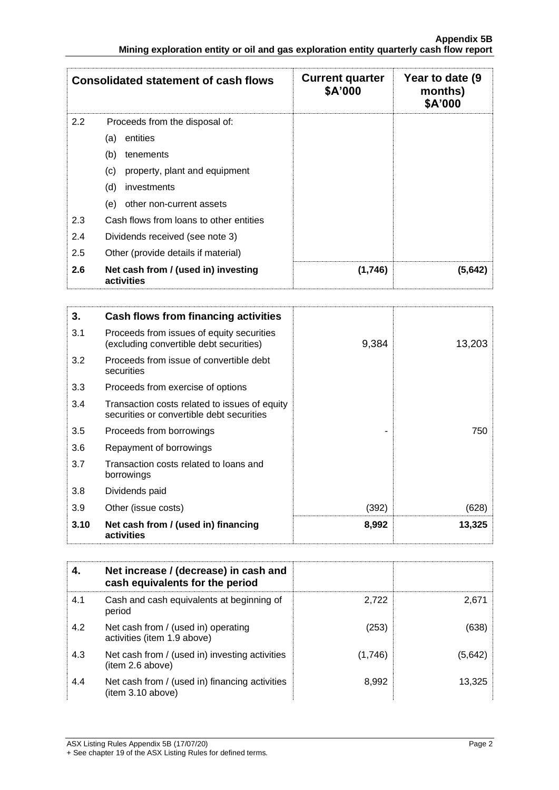|     | <b>Consolidated statement of cash flows</b>       | <b>Current quarter</b><br>\$A'000 | Year to date (9)<br>months)<br>\$A'000 |
|-----|---------------------------------------------------|-----------------------------------|----------------------------------------|
| 2.2 | Proceeds from the disposal of:                    |                                   |                                        |
|     | entities<br>(a)                                   |                                   |                                        |
|     | (b)<br>tenements                                  |                                   |                                        |
|     | (c)<br>property, plant and equipment              |                                   |                                        |
|     | (d)<br>investments                                |                                   |                                        |
|     | (e)<br>other non-current assets                   |                                   |                                        |
| 2.3 | Cash flows from loans to other entities           |                                   |                                        |
| 2.4 | Dividends received (see note 3)                   |                                   |                                        |
| 2.5 | Other (provide details if material)               |                                   |                                        |
| 2.6 | Net cash from / (used in) investing<br>activities | (1,746)                           | (5.642)                                |

| 3.   | <b>Cash flows from financing activities</b>                                                |       |        |
|------|--------------------------------------------------------------------------------------------|-------|--------|
| 3.1  | Proceeds from issues of equity securities<br>(excluding convertible debt securities)       | 9,384 | 13,203 |
| 3.2  | Proceeds from issue of convertible debt<br>securities                                      |       |        |
| 3.3  | Proceeds from exercise of options                                                          |       |        |
| 3.4  | Transaction costs related to issues of equity<br>securities or convertible debt securities |       |        |
| 3.5  | Proceeds from borrowings                                                                   |       | 750    |
| 3.6  | Repayment of borrowings                                                                    |       |        |
| 3.7  | Transaction costs related to loans and<br>borrowings                                       |       |        |
| 3.8  | Dividends paid                                                                             |       |        |
| 3.9  | Other (issue costs)                                                                        | (392) | (628)  |
| 3.10 | Net cash from / (used in) financing<br>activities                                          | 8,992 | 13,325 |

|     | Net increase / (decrease) in cash and<br>cash equivalents for the period |         |         |
|-----|--------------------------------------------------------------------------|---------|---------|
| 4.1 | Cash and cash equivalents at beginning of<br>period                      | 2.722   | 2.671   |
| 4.2 | Net cash from / (used in) operating<br>activities (item 1.9 above)       | (253)   | (638    |
| 4.3 | Net cash from / (used in) investing activities<br>(item 2.6 above)       | (1,746) | (5,642) |
| 4.4 | Net cash from / (used in) financing activities<br>item 3.10 above)       | 8,992   | 13.325  |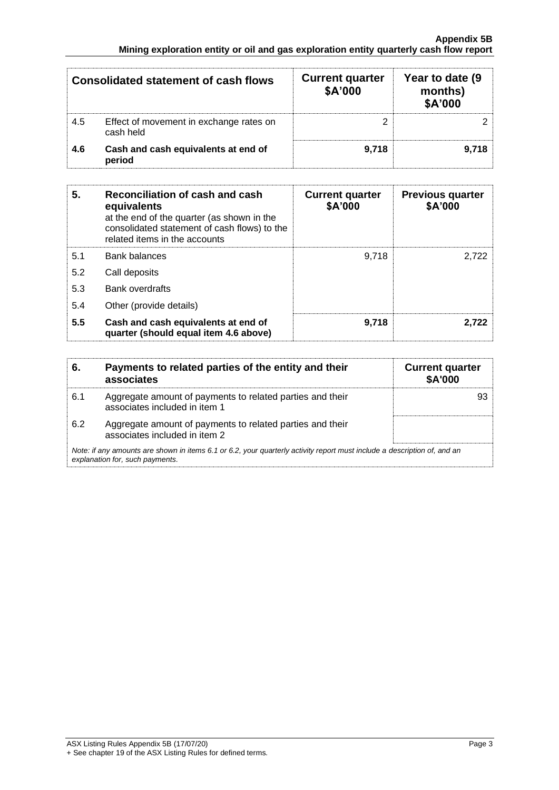| <b>Consolidated statement of cash flows</b> |                                                      | <b>Current quarter</b><br>\$A'000 | Year to date (9<br>months)<br>\$A'000 |
|---------------------------------------------|------------------------------------------------------|-----------------------------------|---------------------------------------|
| 4.5                                         | Effect of movement in exchange rates on<br>cash held |                                   |                                       |
| 4.6                                         | Cash and cash equivalents at end of<br>period        | 9.718                             | 9.718                                 |

| 5.  | Reconciliation of cash and cash<br>equivalents<br>at the end of the quarter (as shown in the<br>consolidated statement of cash flows) to the<br>related items in the accounts | <b>Current quarter</b><br>\$A'000 | <b>Previous quarter</b><br>\$A'000 |
|-----|-------------------------------------------------------------------------------------------------------------------------------------------------------------------------------|-----------------------------------|------------------------------------|
| 5.1 | <b>Bank balances</b>                                                                                                                                                          | 9.718                             | 2.722                              |
| 5.2 | Call deposits                                                                                                                                                                 |                                   |                                    |
| 5.3 | <b>Bank overdrafts</b>                                                                                                                                                        |                                   |                                    |
| 5.4 | Other (provide details)                                                                                                                                                       |                                   |                                    |
| 5.5 | Cash and cash equivalents at end of<br>quarter (should equal item 4.6 above)                                                                                                  | 9.718                             | 2.722                              |

|                                                                                                                                                             | Payments to related parties of the entity and their<br>associates                          | <b>Current quarter</b><br><b>\$A'000</b> |  |  |
|-------------------------------------------------------------------------------------------------------------------------------------------------------------|--------------------------------------------------------------------------------------------|------------------------------------------|--|--|
| 6.1                                                                                                                                                         | Aggregate amount of payments to related parties and their<br>associates included in item 1 |                                          |  |  |
| 6.2                                                                                                                                                         | Aggregate amount of payments to related parties and their<br>associates included in item 2 |                                          |  |  |
| Note: if any amounts are shown in items 6.1 or 6.2, your quarterly activity report must include a description of, and an<br>explanation for, such payments. |                                                                                            |                                          |  |  |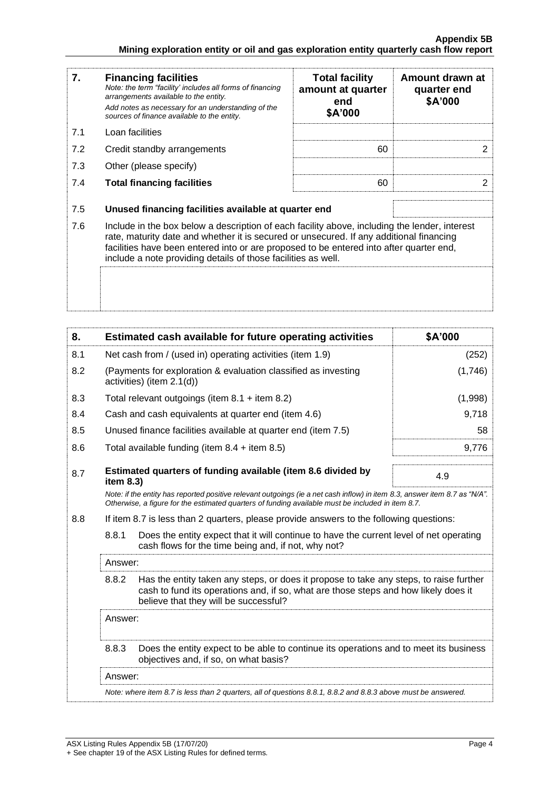| 7.  | <b>Financing facilities</b><br>Note: the term "facility' includes all forms of financing<br>arrangements available to the entity.<br>Add notes as necessary for an understanding of the<br>sources of finance available to the entity.                                                                                                               | <b>Total facility</b><br>amount at quarter<br>end<br>\$A'000 | Amount drawn at<br>quarter end<br>\$A'000 |  |
|-----|------------------------------------------------------------------------------------------------------------------------------------------------------------------------------------------------------------------------------------------------------------------------------------------------------------------------------------------------------|--------------------------------------------------------------|-------------------------------------------|--|
| 7.1 | Loan facilities                                                                                                                                                                                                                                                                                                                                      |                                                              |                                           |  |
| 7.2 | Credit standby arrangements                                                                                                                                                                                                                                                                                                                          |                                                              | 2                                         |  |
| 7.3 | Other (please specify)                                                                                                                                                                                                                                                                                                                               |                                                              |                                           |  |
| 7.4 | <b>Total financing facilities</b>                                                                                                                                                                                                                                                                                                                    | 60                                                           | 2                                         |  |
| 7.5 | Unused financing facilities available at quarter end                                                                                                                                                                                                                                                                                                 |                                                              |                                           |  |
| 7.6 | Include in the box below a description of each facility above, including the lender, interest<br>rate, maturity date and whether it is secured or unsecured. If any additional financing<br>facilities have been entered into or are proposed to be entered into after quarter end,<br>include a note providing details of those facilities as well. |                                                              |                                           |  |
|     |                                                                                                                                                                                                                                                                                                                                                      |                                                              |                                           |  |

| 8.  |                                                                                                                                                                                                                                 | Estimated cash available for future operating activities | \$A'000 |  |
|-----|---------------------------------------------------------------------------------------------------------------------------------------------------------------------------------------------------------------------------------|----------------------------------------------------------|---------|--|
| 8.1 | Net cash from / (used in) operating activities (item 1.9)                                                                                                                                                                       |                                                          | (252)   |  |
| 8.2 | (Payments for exploration & evaluation classified as investing<br>activities) (item 2.1(d))                                                                                                                                     |                                                          | (1,746) |  |
| 8.3 | Total relevant outgoings (item $8.1 +$ item $8.2$ )                                                                                                                                                                             |                                                          | (1,998) |  |
| 8.4 | Cash and cash equivalents at quarter end (item 4.6)                                                                                                                                                                             |                                                          | 9,718   |  |
| 8.5 | Unused finance facilities available at quarter end (item 7.5)                                                                                                                                                                   |                                                          | 58      |  |
| 8.6 | Total available funding (item $8.4 +$ item $8.5$ )                                                                                                                                                                              |                                                          | 9,776   |  |
| 8.7 | Estimated quarters of funding available (item 8.6 divided by<br>item 8.3)                                                                                                                                                       |                                                          | 4.9     |  |
|     | Note: if the entity has reported positive relevant outgoings (ie a net cash inflow) in item 8.3, answer item 8.7 as "N/A".<br>Otherwise, a figure for the estimated quarters of funding available must be included in item 8.7. |                                                          |         |  |
| 8.8 | If item 8.7 is less than 2 quarters, please provide answers to the following questions:                                                                                                                                         |                                                          |         |  |
|     | 8.8.1<br>Does the entity expect that it will continue to have the current level of net operating<br>cash flows for the time being and, if not, why not?                                                                         |                                                          |         |  |
|     | Answer:                                                                                                                                                                                                                         |                                                          |         |  |
|     | 8.8.2<br>Has the entity taken any steps, or does it propose to take any steps, to raise further<br>cash to fund its operations and, if so, what are those steps and how likely does it<br>believe that they will be successful? |                                                          |         |  |
|     | Answer:                                                                                                                                                                                                                         |                                                          |         |  |
|     | 8.8.3<br>Does the entity expect to be able to continue its operations and to meet its business<br>objectives and, if so, on what basis?                                                                                         |                                                          |         |  |
|     | Answer:                                                                                                                                                                                                                         |                                                          |         |  |
|     | Note: where item 8.7 is less than 2 quarters, all of questions 8.8.1, 8.8.2 and 8.8.3 above must be answered.                                                                                                                   |                                                          |         |  |